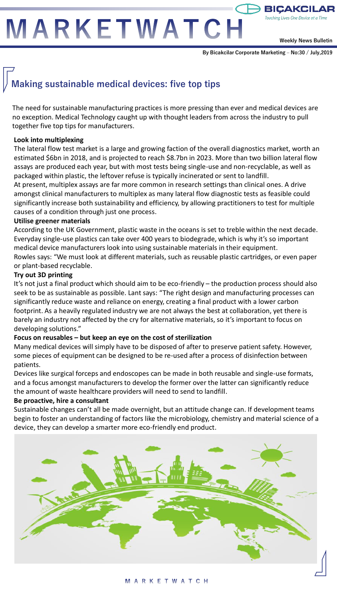# MARKETWATCH

**Weekly News Bulletin**

**BICAKCIL** 

**By Bicakcilar Corporate Marketing – No:30 / July,2019**

# **Making sustainable medical devices: five top tips**

The need for sustainable manufacturing practices is more pressing than ever and medical devices are no exception. Medical Technology caught up with thought leaders from across the industry to pull together five top tips for manufacturers.

### **Look into multiplexing**

The lateral flow test market is a large and growing faction of the overall diagnostics market, worth an estimated \$6bn in 2018, and is projected to reach \$8.7bn in 2023. More than two billion lateral flow assays are produced each year, but with most tests being single-use and non-recyclable, as well as packaged within plastic, the leftover refuse is typically incinerated or sent to landfill.

At present, multiplex assays are far more common in research settings than clinical ones. A drive amongst clinical manufacturers to multiplex as many lateral flow diagnostic tests as feasible could significantly increase both sustainability and efficiency, by allowing practitioners to test for multiple causes of a condition through just one process.

### **Utilise greener materials**

According to the UK Government, plastic waste in the oceans is set to treble within the next decade. Everyday single-use plastics can take over 400 years to biodegrade, which is why it's so important medical device manufacturers look into using sustainable materials in their equipment. Rowles says: "We must look at different materials, such as reusable plastic cartridges, or even paper or plant-based recyclable.

### **Try out 3D printing**

It's not just a final product which should aim to be eco-friendly – the production process should also seek to be as sustainable as possible. Lant says: "The right design and manufacturing processes can significantly reduce waste and reliance on energy, creating a final product with a lower carbon footprint. As a heavily regulated industry we are not always the best at collaboration, yet there is barely an industry not affected by the cry for alternative materials, so it's important to focus on developing solutions."

### **Focus on reusables – but keep an eye on the cost of sterilization**

Many medical devices will simply have to be disposed of after to preserve patient safety. However, some pieces of equipment can be designed to be re-used after a process of disinfection between patients.

Devices like surgical forceps and endoscopes can be made in both reusable and single-use formats, and a focus amongst manufacturers to develop the former over the latter can significantly reduce the amount of waste healthcare providers will need to send to landfill.

### **Be proactive, hire a consultant**

Sustainable changes can't all be made overnight, but an attitude change can. If development teams begin to foster an understanding of factors like the microbiology, chemistry and material science of a device, they can develop a smarter more eco-friendly end product.

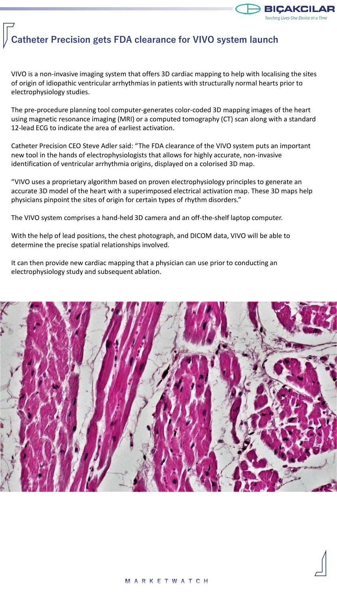

## **Catheter Precision gets FDA clearance for VIVO system launch**

VIVO is a non-invasive imaging system that offers 3D cardiac mapping to help with localising the sites of origin of idiopathic ventricular arrhythmias in patients with structurally normal hearts prior to electrophysiology studies.

The pre-procedure planning tool computer-generates color-coded 3D mapping images of the heart using magnetic resonance imaging (MRI) or a computed tomography (CT) scan along with a standard 12-lead ΕCG to indicate the area of earliest activation.

Catheter Precision CEO Steve Adler said: "The FDA clearance of the VIVO system puts an important new tool in the hands of electrophysiologists that allows for highly accurate, non-invasive identification of ventricular arrhythmia origins, displayed on a colorised 3D map.

"VIVO uses a proprietary algorithm based on proven electrophysiology principles to generate an accurate 3D model of the heart with a superimposed electrical activation map. These 3D maps help physicians pinpoint the sites of origin for certain types of rhythm disorders."

The VIVO system comprises a hand-held 3D camera and an off-the-shelf laptop computer.

With the help of lead positions, the chest photograph, and DICOM data, VIVO will be able to determine the precise spatial relationships involved.

It can then provide new cardiac mapping that a physician can use prior to conducting an electrophysiology study and subsequent ablation.

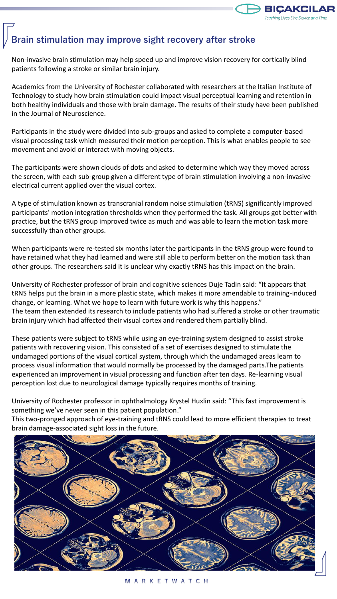

### **Brain stimulation may improve sight recovery after stroke**

Non-invasive brain stimulation may help speed up and improve vision recovery for cortically blind patients following a stroke or similar brain injury.

Academics from the University of Rochester collaborated with researchers at the Italian Institute of Technology to study how brain stimulation could impact visual perceptual learning and retention in both healthy individuals and those with brain damage. The results of their study have been published in the Journal of Neuroscience.

Participants in the study were divided into sub-groups and asked to complete a computer-based visual processing task which measured their motion perception. This is what enables people to see movement and avoid or interact with moving objects.

The participants were shown clouds of dots and asked to determine which way they moved across the screen, with each sub-group given a different type of brain stimulation involving a non-invasive electrical current applied over the visual cortex.

A type of stimulation known as transcranial random noise stimulation (tRNS) significantly improved participants' motion integration thresholds when they performed the task. All groups got better with practice, but the tRNS group improved twice as much and was able to learn the motion task more successfully than other groups.

When participants were re-tested six months later the participants in the tRNS group were found to have retained what they had learned and were still able to perform better on the motion task than other groups. The researchers said it is unclear why exactly tRNS has this impact on the brain.

University of Rochester professor of brain and cognitive sciences Duje Tadin said: "It appears that tRNS helps put the brain in a more plastic state, which makes it more amendable to training-induced change, or learning. What we hope to learn with future work is why this happens." The team then extended its research to include patients who had suffered a stroke or other traumatic brain injury which had affected their visual cortex and rendered them partially blind.

These patients were subject to tRNS while using an eye-training system designed to assist stroke patients with recovering vision. This consisted of a set of exercises designed to stimulate the undamaged portions of the visual cortical system, through which the undamaged areas learn to process visual information that would normally be processed by the damaged parts.The patients experienced an improvement in visual processing and function after ten days. Re-learning visual perception lost due to neurological damage typically requires months of training.

University of Rochester professor in ophthalmology Krystel Huxlin said: "This fast improvement is something we've never seen in this patient population."

This two-pronged approach of eye-training and tRNS could lead to more efficient therapies to treat brain damage-associated sight loss in the future.



MARKETWATCH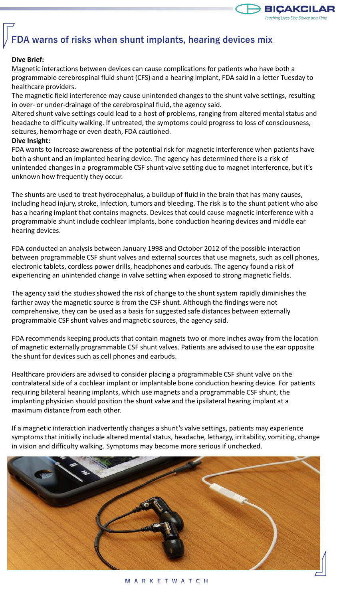

### **FDA warns of risks when shunt implants, hearing devices mix**

#### **Dive Brief:**

Magnetic interactions between devices can cause complications for patients who have both a programmable cerebrospinal fluid shunt (CFS) and a hearing implant, FDA said in a letter Tuesday to healthcare providers.

The magnetic field interference may cause unintended changes to the shunt valve settings, resulting in over- or under-drainage of the cerebrospinal fluid, the agency said.

Altered shunt valve settings could lead to a host of problems, ranging from altered mental status and headache to difficulty walking. If untreated, the symptoms could progress to loss of consciousness, seizures, hemorrhage or even death, FDA cautioned.

#### **Dive Insight:**

FDA wants to increase awareness of the potential risk for magnetic interference when patients have both a shunt and an implanted hearing device. The agency has determined there is a risk of unintended changes in a programmable CSF shunt valve setting due to magnet interference, but it's unknown how frequently they occur.

The shunts are used to treat hydrocephalus, a buildup of fluid in the brain that has many causes, including head injury, stroke, infection, tumors and bleeding. The risk is to the shunt patient who also has a hearing implant that contains magnets. Devices that could cause magnetic interference with a programmable shunt include cochlear implants, bone conduction hearing devices and middle ear hearing devices.

FDA conducted an analysis between January 1998 and October 2012 of the possible interaction between programmable CSF shunt valves and external sources that use magnets, such as cell phones, electronic tablets, cordless power drills, headphones and earbuds. The agency found a risk of experiencing an unintended change in valve setting when exposed to strong magnetic fields.

The agency said the studies showed the risk of change to the shunt system rapidly diminishes the farther away the magnetic source is from the CSF shunt. Although the findings were not comprehensive, they can be used as a basis for suggested safe distances between externally programmable CSF shunt valves and magnetic sources, the agency said.

FDA recommends keeping products that contain magnets two or more inches away from the location of magnetic externally programmable CSF shunt valves. Patients are advised to use the ear opposite the shunt for devices such as cell phones and earbuds.

Healthcare providers are advised to consider placing a programmable CSF shunt valve on the contralateral side of a cochlear implant or implantable bone conduction hearing device. For patients requiring bilateral hearing implants, which use magnets and a programmable CSF shunt, the implanting physician should position the shunt valve and the ipsilateral hearing implant at a maximum distance from each other.

If a magnetic interaction inadvertently changes a shunt's valve settings, patients may experience symptoms that initially include altered mental status, headache, lethargy, irritability, vomiting, change in vision and difficulty walking. Symptoms may become more serious if unchecked.